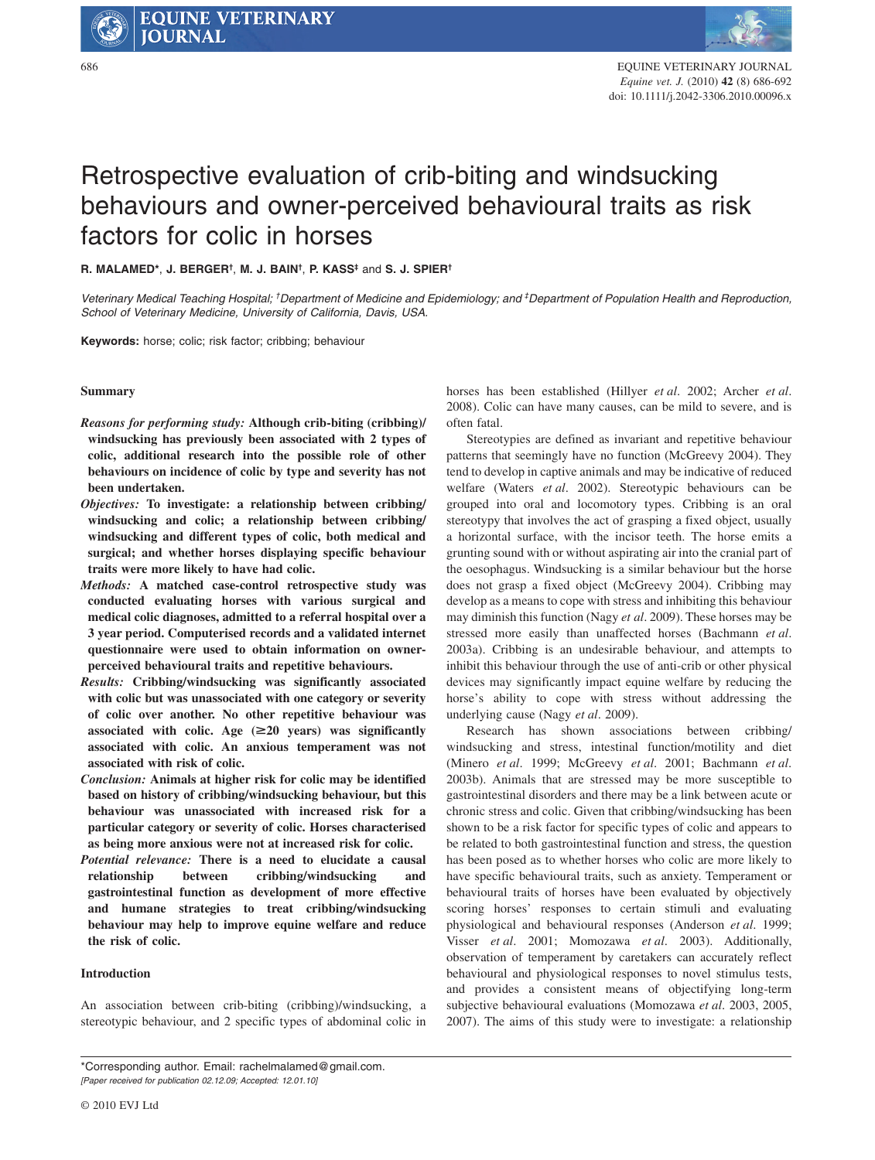



### Retrospective evaluation of crib-biting and windsucking behaviours and owner-perceived behavioural traits as risk factors for colic in horses

**R. MALAMED\***, **J. BERGER†** , **M. J. BAIN†** , **P. KASS‡** and **S. J. SPIER†**

*Veterinary Medical Teaching Hospital; † Department of Medicine and Epidemiology; and ‡ Department of Population Health and Reproduction, School of Veterinary Medicine, University of California, Davis, USA.*

**Keywords:** horse; colic; risk factor; cribbing; behaviour

#### **Summary**

- *Reasons for performing study:* **Although crib-biting (cribbing)/ windsucking has previously been associated with 2 types of colic, additional research into the possible role of other behaviours on incidence of colic by type and severity has not been undertaken.**
- *Objectives:* **To investigate: a relationship between cribbing/ windsucking and colic; a relationship between cribbing/ windsucking and different types of colic, both medical and surgical; and whether horses displaying specific behaviour traits were more likely to have had colic.**
- *Methods:* **A matched case-control retrospective study was conducted evaluating horses with various surgical and medical colic diagnoses, admitted to a referral hospital over a 3 year period. Computerised records and a validated internet questionnaire were used to obtain information on ownerperceived behavioural traits and repetitive behaviours.**
- *Results:* **Cribbing/windsucking was significantly associated with colic but was unassociated with one category or severity of colic over another. No other repetitive behaviour was associated with colic. Age (≥20 years) was significantly associated with colic. An anxious temperament was not associated with risk of colic.**
- *Conclusion:* **Animals at higher risk for colic may be identified based on history of cribbing/windsucking behaviour, but this behaviour was unassociated with increased risk for a particular category or severity of colic. Horses characterised as being more anxious were not at increased risk for colic.**
- *Potential relevance:* **There is a need to elucidate a causal relationship between cribbing/windsucking and gastrointestinal function as development of more effective and humane strategies to treat cribbing/windsucking behaviour may help to improve equine welfare and reduce the risk of colic.**

#### **Introduction**

An association between crib-biting (cribbing)/windsucking, a stereotypic behaviour, and 2 specific types of abdominal colic in horses has been established (Hillyer *et al*. 2002; Archer *et al*. 2008). Colic can have many causes, can be mild to severe, and is often fatal.

Stereotypies are defined as invariant and repetitive behaviour patterns that seemingly have no function (McGreevy 2004). They tend to develop in captive animals and may be indicative of reduced welfare (Waters *et al*. 2002). Stereotypic behaviours can be grouped into oral and locomotory types. Cribbing is an oral stereotypy that involves the act of grasping a fixed object, usually a horizontal surface, with the incisor teeth. The horse emits a grunting sound with or without aspirating air into the cranial part of the oesophagus. Windsucking is a similar behaviour but the horse does not grasp a fixed object (McGreevy 2004). Cribbing may develop as a means to cope with stress and inhibiting this behaviour may diminish this function (Nagy *et al*. 2009). These horses may be stressed more easily than unaffected horses (Bachmann *et al*. 2003a). Cribbing is an undesirable behaviour, and attempts to inhibit this behaviour through the use of anti-crib or other physical devices may significantly impact equine welfare by reducing the horse's ability to cope with stress without addressing the underlying cause (Nagy *et al*. 2009).

Research has shown associations between cribbing/ windsucking and stress, intestinal function/motility and diet (Minero *et al*. 1999; McGreevy *et al*. 2001; Bachmann *et al*. 2003b). Animals that are stressed may be more susceptible to gastrointestinal disorders and there may be a link between acute or chronic stress and colic. Given that cribbing/windsucking has been shown to be a risk factor for specific types of colic and appears to be related to both gastrointestinal function and stress, the question has been posed as to whether horses who colic are more likely to have specific behavioural traits, such as anxiety. Temperament or behavioural traits of horses have been evaluated by objectively scoring horses' responses to certain stimuli and evaluating physiological and behavioural responses (Anderson *et al*. 1999; Visser *et al*. 2001; Momozawa *et al*. 2003). Additionally, observation of temperament by caretakers can accurately reflect behavioural and physiological responses to novel stimulus tests, and provides a consistent means of objectifying long-term subjective behavioural evaluations (Momozawa *et al*. 2003, 2005, 2007). The aims of this study were to investigate: a relationship

<sup>\*</sup>Corresponding author. Email: rachelmalamed@gmail.com. *[Paper received for publication 02.12.09; Accepted: 12.01.10]*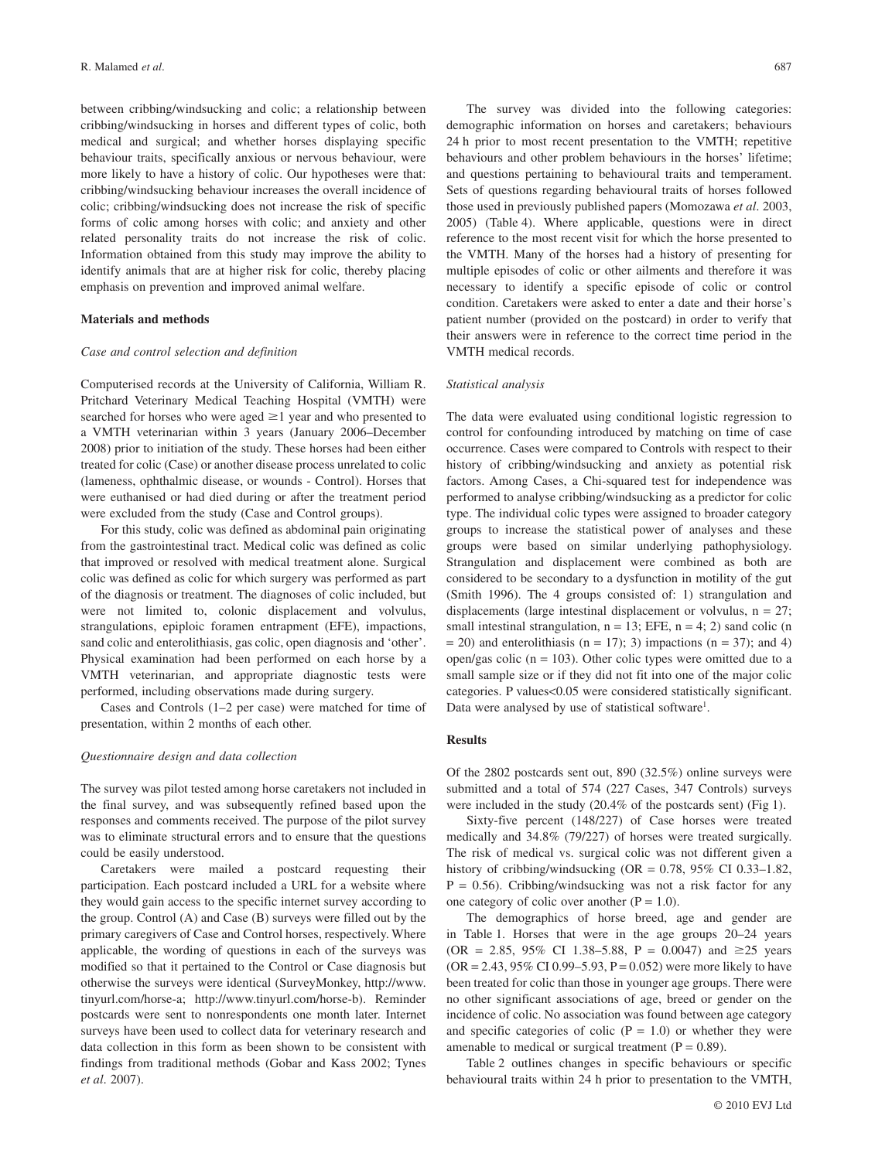between cribbing/windsucking and colic; a relationship between cribbing/windsucking in horses and different types of colic, both medical and surgical; and whether horses displaying specific behaviour traits, specifically anxious or nervous behaviour, were more likely to have a history of colic. Our hypotheses were that: cribbing/windsucking behaviour increases the overall incidence of colic; cribbing/windsucking does not increase the risk of specific forms of colic among horses with colic; and anxiety and other related personality traits do not increase the risk of colic. Information obtained from this study may improve the ability to identify animals that are at higher risk for colic, thereby placing emphasis on prevention and improved animal welfare.

#### **Materials and methods**

#### *Case and control selection and definition*

Computerised records at the University of California, William R. Pritchard Veterinary Medical Teaching Hospital (VMTH) were searched for horses who were aged  $\geq 1$  year and who presented to a VMTH veterinarian within 3 years (January 2006–December 2008) prior to initiation of the study. These horses had been either treated for colic (Case) or another disease process unrelated to colic (lameness, ophthalmic disease, or wounds - Control). Horses that were euthanised or had died during or after the treatment period were excluded from the study (Case and Control groups).

For this study, colic was defined as abdominal pain originating from the gastrointestinal tract. Medical colic was defined as colic that improved or resolved with medical treatment alone. Surgical colic was defined as colic for which surgery was performed as part of the diagnosis or treatment. The diagnoses of colic included, but were not limited to, colonic displacement and volvulus, strangulations, epiploic foramen entrapment (EFE), impactions, sand colic and enterolithiasis, gas colic, open diagnosis and 'other'. Physical examination had been performed on each horse by a VMTH veterinarian, and appropriate diagnostic tests were performed, including observations made during surgery.

Cases and Controls (1–2 per case) were matched for time of presentation, within 2 months of each other.

#### *Questionnaire design and data collection*

The survey was pilot tested among horse caretakers not included in the final survey, and was subsequently refined based upon the responses and comments received. The purpose of the pilot survey was to eliminate structural errors and to ensure that the questions could be easily understood.

Caretakers were mailed a postcard requesting their participation. Each postcard included a URL for a website where they would gain access to the specific internet survey according to the group. Control (A) and Case (B) surveys were filled out by the primary caregivers of Case and Control horses, respectively. Where applicable, the wording of questions in each of the surveys was modified so that it pertained to the Control or Case diagnosis but otherwise the surveys were identical (SurveyMonkey, http://www. tinyurl.com/horse-a; http://www.tinyurl.com/horse-b). Reminder postcards were sent to nonrespondents one month later. Internet surveys have been used to collect data for veterinary research and data collection in this form as been shown to be consistent with findings from traditional methods (Gobar and Kass 2002; Tynes *et al*. 2007).

The survey was divided into the following categories: demographic information on horses and caretakers; behaviours 24 h prior to most recent presentation to the VMTH; repetitive behaviours and other problem behaviours in the horses' lifetime; and questions pertaining to behavioural traits and temperament. Sets of questions regarding behavioural traits of horses followed those used in previously published papers (Momozawa *et al*. 2003, 2005) (Table 4). Where applicable, questions were in direct reference to the most recent visit for which the horse presented to the VMTH. Many of the horses had a history of presenting for multiple episodes of colic or other ailments and therefore it was necessary to identify a specific episode of colic or control condition. Caretakers were asked to enter a date and their horse's patient number (provided on the postcard) in order to verify that their answers were in reference to the correct time period in the VMTH medical records.

#### *Statistical analysis*

The data were evaluated using conditional logistic regression to control for confounding introduced by matching on time of case occurrence. Cases were compared to Controls with respect to their history of cribbing/windsucking and anxiety as potential risk factors. Among Cases, a Chi-squared test for independence was performed to analyse cribbing/windsucking as a predictor for colic type. The individual colic types were assigned to broader category groups to increase the statistical power of analyses and these groups were based on similar underlying pathophysiology. Strangulation and displacement were combined as both are considered to be secondary to a dysfunction in motility of the gut (Smith 1996). The 4 groups consisted of: 1) strangulation and displacements (large intestinal displacement or volvulus,  $n = 27$ ; small intestinal strangulation,  $n = 13$ ; EFE,  $n = 4$ ; 2) sand colic (n  $= 20$ ) and enterolithiasis (n  $= 17$ ); 3) impactions (n  $= 37$ ); and 4) open/gas colic ( $n = 103$ ). Other colic types were omitted due to a small sample size or if they did not fit into one of the major colic categories. P values<0.05 were considered statistically significant. Data were analysed by use of statistical software<sup>1</sup>.

#### **Results**

Of the 2802 postcards sent out, 890 (32.5%) online surveys were submitted and a total of 574 (227 Cases, 347 Controls) surveys were included in the study (20.4% of the postcards sent) (Fig 1).

Sixty-five percent (148/227) of Case horses were treated medically and 34.8% (79/227) of horses were treated surgically. The risk of medical vs. surgical colic was not different given a history of cribbing/windsucking (OR =  $0.78$ , 95% CI 0.33–1.82,  $P = 0.56$ ). Cribbing/windsucking was not a risk factor for any one category of colic over another  $(P = 1.0)$ .

The demographics of horse breed, age and gender are in Table 1. Horses that were in the age groups 20–24 years  $(OR = 2.85, 95\% \text{ CI } 1.38 - 5.88, P = 0.0047) \text{ and } \geq 25 \text{ years}$  $(OR = 2.43, 95\% \text{ CI } 0.99 - 5.93, P = 0.052)$  were more likely to have been treated for colic than those in younger age groups. There were no other significant associations of age, breed or gender on the incidence of colic. No association was found between age category and specific categories of colic  $(P = 1.0)$  or whether they were amenable to medical or surgical treatment ( $P = 0.89$ ).

Table 2 outlines changes in specific behaviours or specific behavioural traits within 24 h prior to presentation to the VMTH,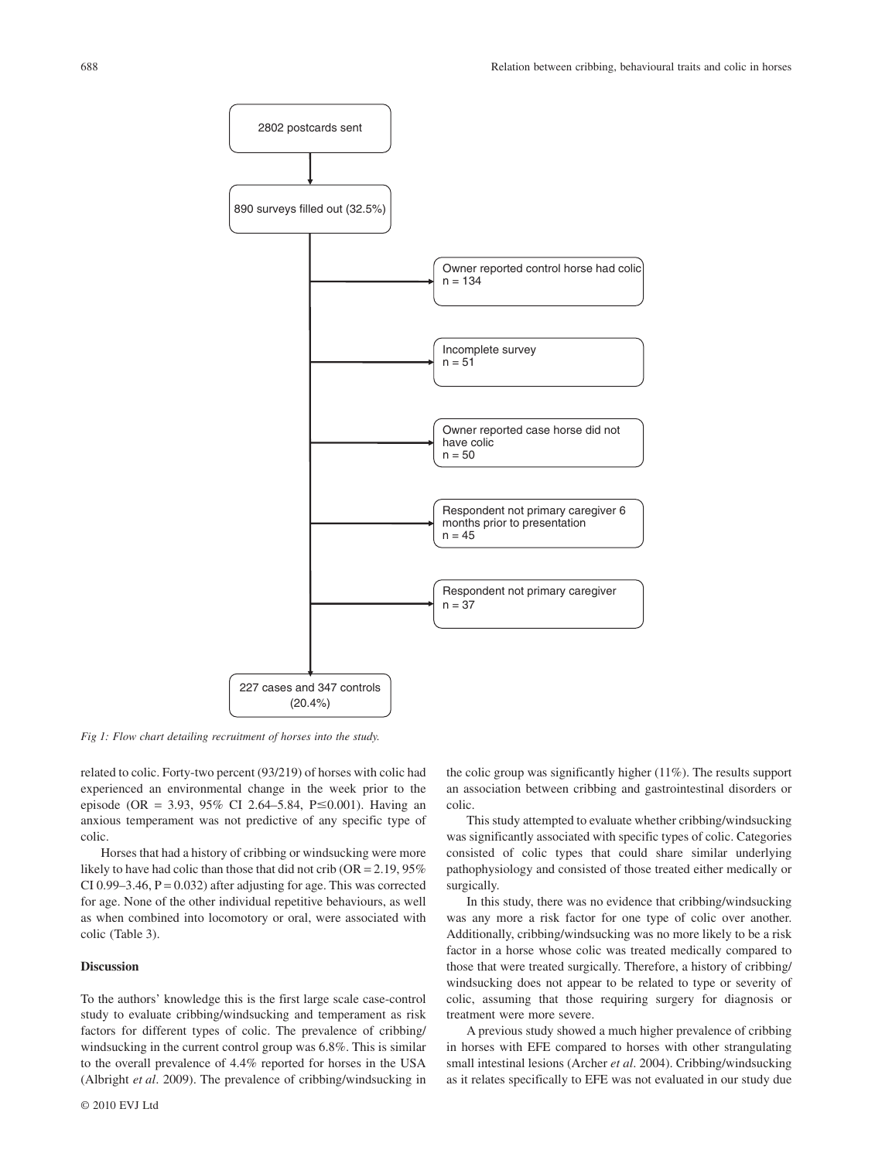

*Fig 1: Flow chart detailing recruitment of horses into the study.*

related to colic. Forty-two percent (93/219) of horses with colic had experienced an environmental change in the week prior to the episode (OR = 3.93, 95% CI 2.64–5.84, P $\leq$ 0.001). Having an anxious temperament was not predictive of any specific type of colic.

Horses that had a history of cribbing or windsucking were more likely to have had colic than those that did not crib ( $OR = 2.19, 95\%$ CI 0.99–3.46,  $P = 0.032$ ) after adjusting for age. This was corrected for age. None of the other individual repetitive behaviours, as well as when combined into locomotory or oral, were associated with colic (Table 3).

### **Discussion**

To the authors' knowledge this is the first large scale case-control study to evaluate cribbing/windsucking and temperament as risk factors for different types of colic. The prevalence of cribbing/ windsucking in the current control group was 6.8%. This is similar to the overall prevalence of 4.4% reported for horses in the USA (Albright *et al*. 2009). The prevalence of cribbing/windsucking in

© 2010 EVJ Ltd

the colic group was significantly higher (11%). The results support an association between cribbing and gastrointestinal disorders or colic.

This study attempted to evaluate whether cribbing/windsucking was significantly associated with specific types of colic. Categories consisted of colic types that could share similar underlying pathophysiology and consisted of those treated either medically or surgically.

In this study, there was no evidence that cribbing/windsucking was any more a risk factor for one type of colic over another. Additionally, cribbing/windsucking was no more likely to be a risk factor in a horse whose colic was treated medically compared to those that were treated surgically. Therefore, a history of cribbing/ windsucking does not appear to be related to type or severity of colic, assuming that those requiring surgery for diagnosis or treatment were more severe.

A previous study showed a much higher prevalence of cribbing in horses with EFE compared to horses with other strangulating small intestinal lesions (Archer *et al*. 2004). Cribbing/windsucking as it relates specifically to EFE was not evaluated in our study due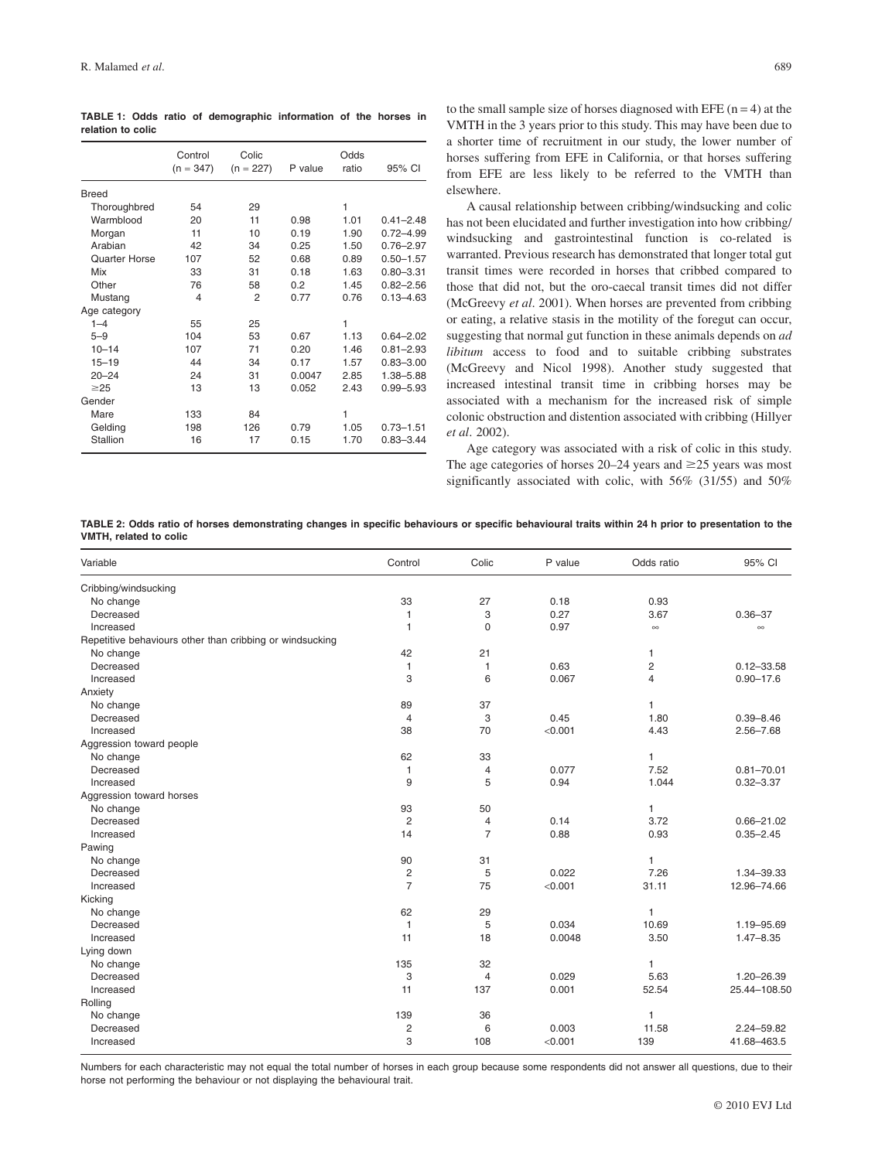**TABLE 1: Odds ratio of demographic information of the horses in relation to colic**

|                 | Control<br>$(n = 347)$ | Colic<br>$(n = 227)$ | P value | Odds<br>ratio | 95% CI        |
|-----------------|------------------------|----------------------|---------|---------------|---------------|
| <b>Breed</b>    |                        |                      |         |               |               |
| Thoroughbred    | 54                     | 29                   |         | 1             |               |
| Warmblood       | 20                     | 11                   | 0.98    | 1.01          | $0.41 - 2.48$ |
| Morgan          | 11                     | 10                   | 0.19    | 1.90          | $0.72 - 4.99$ |
| Arabian         | 42                     | 34                   | 0.25    | 1.50          | $0.76 - 2.97$ |
| Quarter Horse   | 107                    | 52                   | 0.68    | 0.89          | $0.50 - 1.57$ |
| Mix             | 33                     | 31                   | 0.18    | 1.63          | $0.80 - 3.31$ |
| Other           | 76                     | 58                   | 0.2     | 1.45          | $0.82 - 2.56$ |
| Mustang         | $\overline{4}$         | 2                    | 0.77    | 0.76          | $0.13 - 4.63$ |
| Age category    |                        |                      |         |               |               |
| $1 - 4$         | 55                     | 25                   |         | 1             |               |
| $5 - 9$         | 104                    | 53                   | 0.67    | 1.13          | $0.64 - 2.02$ |
| $10 - 14$       | 107                    | 71                   | 0.20    | 1.46          | $0.81 - 2.93$ |
| $15 - 19$       | 44                     | 34                   | 0.17    | 1.57          | $0.83 - 3.00$ |
| $20 - 24$       | 24                     | 31                   | 0.0047  | 2.85          | 1.38-5.88     |
| $\geq$ 25       | 13                     | 13                   | 0.052   | 2.43          | $0.99 - 5.93$ |
| Gender          |                        |                      |         |               |               |
| Mare            | 133                    | 84                   |         | 1             |               |
| Gelding         | 198                    | 126                  | 0.79    | 1.05          | $0.73 - 1.51$ |
| <b>Stallion</b> | 16                     | 17                   | 0.15    | 1.70          | $0.83 - 3.44$ |

to the small sample size of horses diagnosed with EFE  $(n = 4)$  at the VMTH in the 3 years prior to this study. This may have been due to a shorter time of recruitment in our study, the lower number of horses suffering from EFE in California, or that horses suffering from EFE are less likely to be referred to the VMTH than elsewhere.

A causal relationship between cribbing/windsucking and colic has not been elucidated and further investigation into how cribbing/ windsucking and gastrointestinal function is co-related is warranted. Previous research has demonstrated that longer total gut transit times were recorded in horses that cribbed compared to those that did not, but the oro-caecal transit times did not differ (McGreevy *et al*. 2001). When horses are prevented from cribbing or eating, a relative stasis in the motility of the foregut can occur, suggesting that normal gut function in these animals depends on *ad libitum* access to food and to suitable cribbing substrates (McGreevy and Nicol 1998). Another study suggested that increased intestinal transit time in cribbing horses may be associated with a mechanism for the increased risk of simple colonic obstruction and distention associated with cribbing (Hillyer *et al*. 2002).

Age category was associated with a risk of colic in this study. The age categories of horses  $20-24$  years and  $\geq 25$  years was most significantly associated with colic, with 56% (31/55) and 50%

**TABLE 2: Odds ratio of horses demonstrating changes in specific behaviours or specific behavioural traits within 24 h prior to presentation to the VMTH, related to colic**

| Variable                                                 | Control        | Colic          | P value | Odds ratio              | 95% CI         |
|----------------------------------------------------------|----------------|----------------|---------|-------------------------|----------------|
| Cribbing/windsucking                                     |                |                |         |                         |                |
| No change                                                | 33             | 27             | 0.18    | 0.93                    |                |
| Decreased                                                | $\mathbf{1}$   | 3              | 0.27    | 3.67                    | $0.36 - 37$    |
| Increased                                                | $\overline{1}$ | $\mathbf 0$    | 0.97    | $\infty$                | $\infty$       |
| Repetitive behaviours other than cribbing or windsucking |                |                |         |                         |                |
| No change                                                | 42             | 21             |         | 1                       |                |
| Decreased                                                | $\mathbf{1}$   | 1              | 0.63    | $\overline{\mathbf{c}}$ | $0.12 - 33.58$ |
| Increased                                                | 3              | 6              | 0.067   | $\overline{4}$          | $0.90 - 17.6$  |
| Anxiety                                                  |                |                |         |                         |                |
| No change                                                | 89             | 37             |         | 1                       |                |
| Decreased                                                | $\overline{4}$ | 3              | 0.45    | 1.80                    | $0.39 - 8.46$  |
| Increased                                                | 38             | 70             | < 0.001 | 4.43                    | $2.56 - 7.68$  |
| Aggression toward people                                 |                |                |         |                         |                |
| No change                                                | 62             | 33             |         | 1                       |                |
| Decreased                                                | $\mathbf{1}$   | $\overline{4}$ | 0.077   | 7.52                    | $0.81 - 70.01$ |
| Increased                                                | 9              | 5              | 0.94    | 1.044                   | $0.32 - 3.37$  |
| Aggression toward horses                                 |                |                |         |                         |                |
| No change                                                | 93             | 50             |         | 1                       |                |
| Decreased                                                | $\overline{2}$ | $\overline{4}$ | 0.14    | 3.72                    | $0.66 - 21.02$ |
| Increased                                                | 14             | $\overline{7}$ | 0.88    | 0.93                    | $0.35 - 2.45$  |
| Pawing                                                   |                |                |         |                         |                |
| No change                                                | 90             | 31             |         | 1                       |                |
| Decreased                                                | $\overline{c}$ | 5              | 0.022   | 7.26                    | 1.34-39.33     |
| Increased                                                | $\overline{7}$ | 75             | < 0.001 | 31.11                   | 12.96-74.66    |
| Kicking                                                  |                |                |         |                         |                |
| No change                                                | 62             | 29             |         | 1                       |                |
| Decreased                                                | $\mathbf{1}$   | 5              | 0.034   | 10.69                   | 1.19-95.69     |
| Increased                                                | 11             | 18             | 0.0048  | 3.50                    | $1.47 - 8.35$  |
| Lying down                                               |                |                |         |                         |                |
| No change                                                | 135            | 32             |         | 1                       |                |
| Decreased                                                | 3              | $\overline{4}$ | 0.029   | 5.63                    | 1.20-26.39     |
| Increased                                                | 11             | 137            | 0.001   | 52.54                   | 25.44-108.50   |
| Rolling                                                  |                |                |         |                         |                |
| No change                                                | 139            | 36             |         | 1                       |                |
| Decreased                                                | $\overline{c}$ | 6              | 0.003   | 11.58                   | $2.24 - 59.82$ |
| Increased                                                | 3              | 108            | < 0.001 | 139                     | 41.68-463.5    |

Numbers for each characteristic may not equal the total number of horses in each group because some respondents did not answer all questions, due to their horse not performing the behaviour or not displaying the behavioural trait.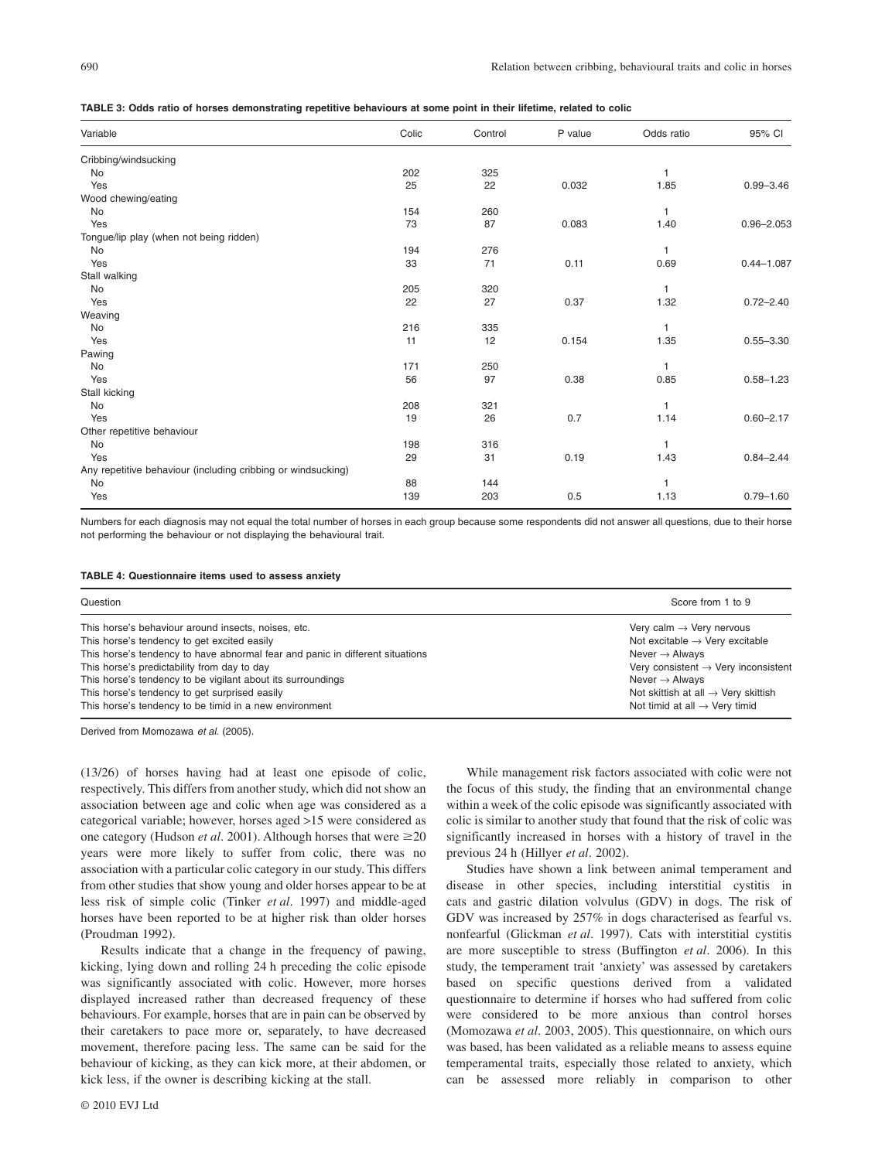| TABLE 3: Odds ratio of horses demonstrating repetitive behaviours at some point in their lifetime, related to colic |  |  |  |  |
|---------------------------------------------------------------------------------------------------------------------|--|--|--|--|
|---------------------------------------------------------------------------------------------------------------------|--|--|--|--|

| Variable                                                     | Colic | Control | P value | Odds ratio   | 95% CI         |
|--------------------------------------------------------------|-------|---------|---------|--------------|----------------|
| Cribbing/windsucking                                         |       |         |         |              |                |
| No                                                           | 202   | 325     |         | 1            |                |
| Yes                                                          | 25    | 22      | 0.032   | 1.85         | $0.99 - 3.46$  |
| Wood chewing/eating                                          |       |         |         |              |                |
| <b>No</b>                                                    | 154   | 260     |         | 1            |                |
| Yes                                                          | 73    | 87      | 0.083   | 1.40         | $0.96 - 2.053$ |
| Tongue/lip play (when not being ridden)                      |       |         |         |              |                |
| No                                                           | 194   | 276     |         | $\mathbf{1}$ |                |
| Yes                                                          | 33    | 71      | 0.11    | 0.69         | $0.44 - 1.087$ |
| Stall walking                                                |       |         |         |              |                |
| No                                                           | 205   | 320     |         | 1            |                |
| Yes                                                          | 22    | 27      | 0.37    | 1.32         | $0.72 - 2.40$  |
| Weaving                                                      |       |         |         |              |                |
| No                                                           | 216   | 335     |         | 1            |                |
| Yes                                                          | 11    | 12      | 0.154   | 1.35         | $0.55 - 3.30$  |
| Pawing                                                       |       |         |         |              |                |
| No                                                           | 171   | 250     |         | 1            |                |
| Yes                                                          | 56    | 97      | 0.38    | 0.85         | $0.58 - 1.23$  |
| Stall kicking                                                |       |         |         |              |                |
| No                                                           | 208   | 321     |         | $\mathbf{1}$ |                |
| Yes                                                          | 19    | 26      | 0.7     | 1.14         | $0.60 - 2.17$  |
| Other repetitive behaviour                                   |       |         |         |              |                |
| No                                                           | 198   | 316     |         | 1            |                |
| Yes                                                          | 29    | 31      | 0.19    | 1.43         | $0.84 - 2.44$  |
| Any repetitive behaviour (including cribbing or windsucking) |       |         |         |              |                |
| No                                                           | 88    | 144     |         | 1            |                |
| Yes                                                          | 139   | 203     | 0.5     | 1.13         | $0.79 - 1.60$  |

Numbers for each diagnosis may not equal the total number of horses in each group because some respondents did not answer all questions, due to their horse not performing the behaviour or not displaying the behavioural trait.

| TABLE 4: Questionnaire items used to assess anxiety |  |  |
|-----------------------------------------------------|--|--|
|-----------------------------------------------------|--|--|

| Question                                                                      | Score from 1 to 9                               |  |
|-------------------------------------------------------------------------------|-------------------------------------------------|--|
| This horse's behaviour around insects, noises, etc.                           | Very calm $\rightarrow$ Very nervous            |  |
| This horse's tendency to get excited easily                                   | Not excitable $\rightarrow$ Very excitable      |  |
| This horse's tendency to have abnormal fear and panic in different situations | Never $\rightarrow$ Always                      |  |
| This horse's predictability from day to day                                   | Very consistent $\rightarrow$ Very inconsistent |  |
| This horse's tendency to be vigilant about its surroundings                   | Never $\rightarrow$ Always                      |  |
| This horse's tendency to get surprised easily                                 | Not skittish at all $\rightarrow$ Very skittish |  |
| This horse's tendency to be timid in a new environment                        | Not timid at all $\rightarrow$ Very timid       |  |

Derived from Momozawa *et al*. (2005).

(13/26) of horses having had at least one episode of colic, respectively. This differs from another study, which did not show an association between age and colic when age was considered as a categorical variable; however, horses aged >15 were considered as one category (Hudson *et al.* 2001). Although horses that were  $\geq$  20 years were more likely to suffer from colic, there was no association with a particular colic category in our study. This differs from other studies that show young and older horses appear to be at less risk of simple colic (Tinker *et al*. 1997) and middle-aged horses have been reported to be at higher risk than older horses (Proudman 1992).

Results indicate that a change in the frequency of pawing, kicking, lying down and rolling 24 h preceding the colic episode was significantly associated with colic. However, more horses displayed increased rather than decreased frequency of these behaviours. For example, horses that are in pain can be observed by their caretakers to pace more or, separately, to have decreased movement, therefore pacing less. The same can be said for the behaviour of kicking, as they can kick more, at their abdomen, or kick less, if the owner is describing kicking at the stall.

© 2010 EVJ Ltd

While management risk factors associated with colic were not the focus of this study, the finding that an environmental change within a week of the colic episode was significantly associated with colic is similar to another study that found that the risk of colic was significantly increased in horses with a history of travel in the previous 24 h (Hillyer *et al*. 2002).

Studies have shown a link between animal temperament and disease in other species, including interstitial cystitis in cats and gastric dilation volvulus (GDV) in dogs. The risk of GDV was increased by 257% in dogs characterised as fearful vs. nonfearful (Glickman *et al*. 1997). Cats with interstitial cystitis are more susceptible to stress (Buffington *et al*. 2006). In this study, the temperament trait 'anxiety' was assessed by caretakers based on specific questions derived from a validated questionnaire to determine if horses who had suffered from colic were considered to be more anxious than control horses (Momozawa *et al*. 2003, 2005). This questionnaire, on which ours was based, has been validated as a reliable means to assess equine temperamental traits, especially those related to anxiety, which can be assessed more reliably in comparison to other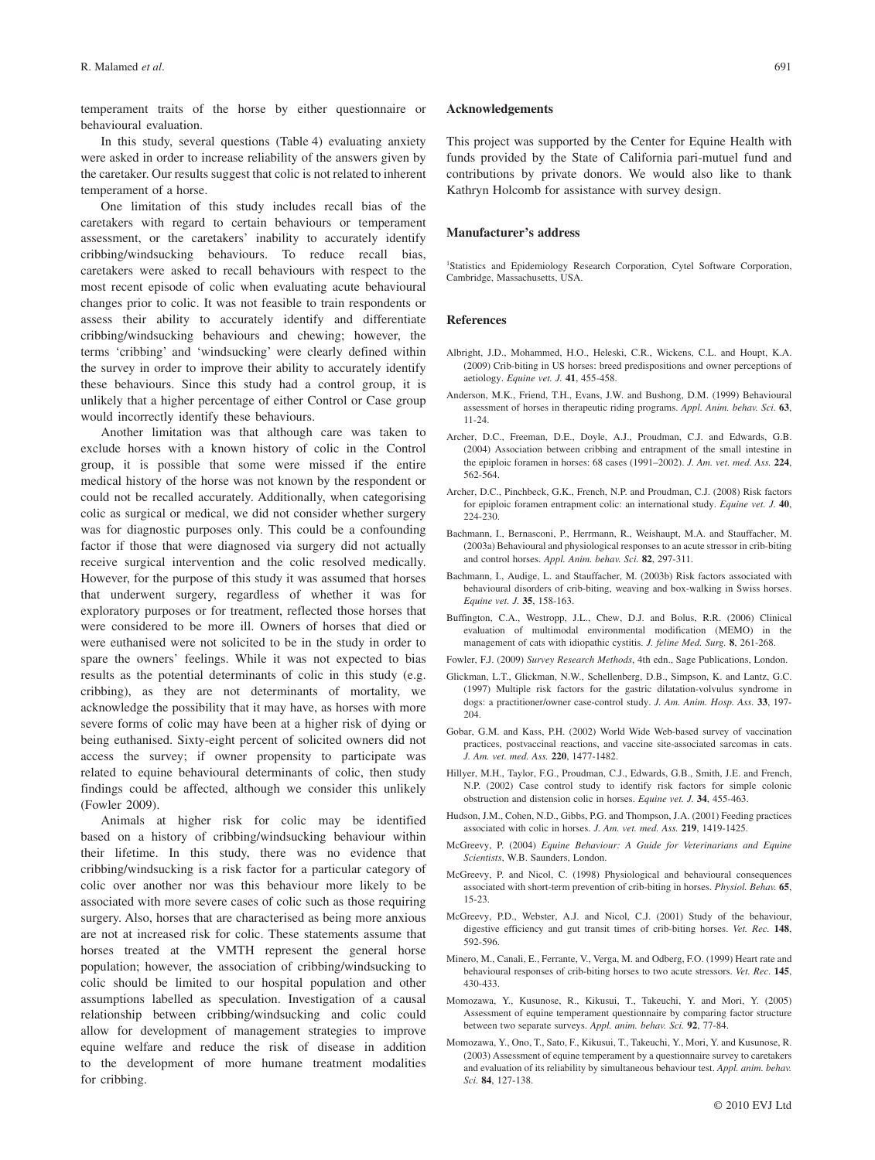temperament traits of the horse by either questionnaire or behavioural evaluation.

In this study, several questions (Table 4) evaluating anxiety were asked in order to increase reliability of the answers given by the caretaker. Our results suggest that colic is not related to inherent temperament of a horse.

One limitation of this study includes recall bias of the caretakers with regard to certain behaviours or temperament assessment, or the caretakers' inability to accurately identify cribbing/windsucking behaviours. To reduce recall bias, caretakers were asked to recall behaviours with respect to the most recent episode of colic when evaluating acute behavioural changes prior to colic. It was not feasible to train respondents or assess their ability to accurately identify and differentiate cribbing/windsucking behaviours and chewing; however, the terms 'cribbing' and 'windsucking' were clearly defined within the survey in order to improve their ability to accurately identify these behaviours. Since this study had a control group, it is unlikely that a higher percentage of either Control or Case group would incorrectly identify these behaviours.

Another limitation was that although care was taken to exclude horses with a known history of colic in the Control group, it is possible that some were missed if the entire medical history of the horse was not known by the respondent or could not be recalled accurately. Additionally, when categorising colic as surgical or medical, we did not consider whether surgery was for diagnostic purposes only. This could be a confounding factor if those that were diagnosed via surgery did not actually receive surgical intervention and the colic resolved medically. However, for the purpose of this study it was assumed that horses that underwent surgery, regardless of whether it was for exploratory purposes or for treatment, reflected those horses that were considered to be more ill. Owners of horses that died or were euthanised were not solicited to be in the study in order to spare the owners' feelings. While it was not expected to bias results as the potential determinants of colic in this study (e.g. cribbing), as they are not determinants of mortality, we acknowledge the possibility that it may have, as horses with more severe forms of colic may have been at a higher risk of dying or being euthanised. Sixty-eight percent of solicited owners did not access the survey; if owner propensity to participate was related to equine behavioural determinants of colic, then study findings could be affected, although we consider this unlikely (Fowler 2009).

Animals at higher risk for colic may be identified based on a history of cribbing/windsucking behaviour within their lifetime. In this study, there was no evidence that cribbing/windsucking is a risk factor for a particular category of colic over another nor was this behaviour more likely to be associated with more severe cases of colic such as those requiring surgery. Also, horses that are characterised as being more anxious are not at increased risk for colic. These statements assume that horses treated at the VMTH represent the general horse population; however, the association of cribbing/windsucking to colic should be limited to our hospital population and other assumptions labelled as speculation. Investigation of a causal relationship between cribbing/windsucking and colic could allow for development of management strategies to improve equine welfare and reduce the risk of disease in addition to the development of more humane treatment modalities for cribbing.

#### **Acknowledgements**

This project was supported by the Center for Equine Health with funds provided by the State of California pari-mutuel fund and contributions by private donors. We would also like to thank Kathryn Holcomb for assistance with survey design.

#### **Manufacturer's address**

<sup>1</sup>Statistics and Epidemiology Research Corporation, Cytel Software Corporation, Cambridge, Massachusetts, USA.

#### **References**

- Albright, J.D., Mohammed, H.O., Heleski, C.R., Wickens, C.L. and Houpt, K.A. (2009) Crib-biting in US horses: breed predispositions and owner perceptions of aetiology. *Equine vet. J.* **41**, 455-458.
- Anderson, M.K., Friend, T.H., Evans, J.W. and Bushong, D.M. (1999) Behavioural assessment of horses in therapeutic riding programs. *Appl. Anim. behav. Sci.* **63**, 11-24.
- Archer, D.C., Freeman, D.E., Doyle, A.J., Proudman, C.J. and Edwards, G.B. (2004) Association between cribbing and entrapment of the small intestine in the epiploic foramen in horses: 68 cases (1991–2002). *J. Am. vet. med. Ass.* **224**, 562-564.
- Archer, D.C., Pinchbeck, G.K., French, N.P. and Proudman, C.J. (2008) Risk factors for epiploic foramen entrapment colic: an international study. *Equine vet. J.* **40**, 224-230.
- Bachmann, I., Bernasconi, P., Herrmann, R., Weishaupt, M.A. and Stauffacher, M. (2003a) Behavioural and physiological responses to an acute stressor in crib-biting and control horses. *Appl. Anim. behav. Sci.* **82**, 297-311.
- Bachmann, I., Audige, L. and Stauffacher, M. (2003b) Risk factors associated with behavioural disorders of crib-biting, weaving and box-walking in Swiss horses. *Equine vet. J.* **35**, 158-163.
- Buffington, C.A., Westropp, J.L., Chew, D.J. and Bolus, R.R. (2006) Clinical evaluation of multimodal environmental modification (MEMO) in the management of cats with idiopathic cystitis. *J. feline Med. Surg.* **8**, 261-268.
- Fowler, F.J. (2009) *Survey Research Methods*, 4th edn., Sage Publications, London.
- Glickman, L.T., Glickman, N.W., Schellenberg, D.B., Simpson, K. and Lantz, G.C. (1997) Multiple risk factors for the gastric dilatation-volvulus syndrome in dogs: a practitioner/owner case-control study. *J. Am. Anim. Hosp. Ass.* **33**, 197- 204.
- Gobar, G.M. and Kass, P.H. (2002) World Wide Web-based survey of vaccination practices, postvaccinal reactions, and vaccine site-associated sarcomas in cats. *J. Am. vet. med. Ass.* **220**, 1477-1482.
- Hillyer, M.H., Taylor, F.G., Proudman, C.J., Edwards, G.B., Smith, J.E. and French, N.P. (2002) Case control study to identify risk factors for simple colonic obstruction and distension colic in horses. *Equine vet. J.* **34**, 455-463.
- Hudson, J.M., Cohen, N.D., Gibbs, P.G. and Thompson, J.A. (2001) Feeding practices associated with colic in horses. *J. Am. vet. med. Ass.* **219**, 1419-1425.
- McGreevy, P. (2004) *Equine Behaviour: A Guide for Veterinarians and Equine Scientists*, W.B. Saunders, London.
- McGreevy, P. and Nicol, C. (1998) Physiological and behavioural consequences associated with short-term prevention of crib-biting in horses. *Physiol. Behav.* **65**, 15-23.
- McGreevy, P.D., Webster, A.J. and Nicol, C.J. (2001) Study of the behaviour, digestive efficiency and gut transit times of crib-biting horses. *Vet. Rec.* **148**, 592-596.
- Minero, M., Canali, E., Ferrante, V., Verga, M. and Odberg, F.O. (1999) Heart rate and behavioural responses of crib-biting horses to two acute stressors. *Vet. Rec.* **145**, 430-433.
- Momozawa, Y., Kusunose, R., Kikusui, T., Takeuchi, Y. and Mori, Y. (2005) Assessment of equine temperament questionnaire by comparing factor structure between two separate surveys. *Appl. anim. behav. Sci.* **92**, 77-84.
- Momozawa, Y., Ono, T., Sato, F., Kikusui, T., Takeuchi, Y., Mori, Y. and Kusunose, R. (2003) Assessment of equine temperament by a questionnaire survey to caretakers and evaluation of its reliability by simultaneous behaviour test. *Appl. anim. behav. Sci.* **84**, 127-138.